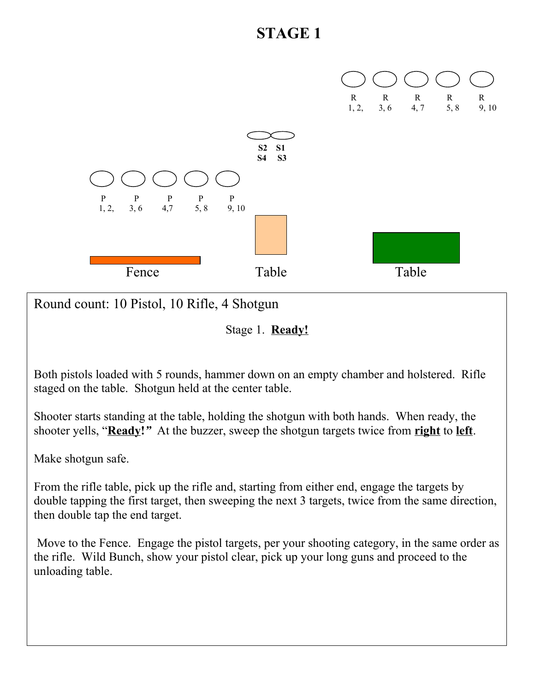

Round count: 10 Pistol, 10 Rifle, 4 Shotgun

Stage 1. **Ready!**

Both pistols loaded with 5 rounds, hammer down on an empty chamber and holstered. Rifle staged on the table. Shotgun held at the center table.

Shooter starts standing at the table, holding the shotgun with both hands. When ready, the shooter yells, "**Ready!***"* At the buzzer, sweep the shotgun targets twice from **right** to **left**.

Make shotgun safe.

From the rifle table, pick up the rifle and, starting from either end, engage the targets by double tapping the first target, then sweeping the next 3 targets, twice from the same direction, then double tap the end target.

 Move to the Fence. Engage the pistol targets, per your shooting category, in the same order as the rifle. Wild Bunch, show your pistol clear, pick up your long guns and proceed to the unloading table.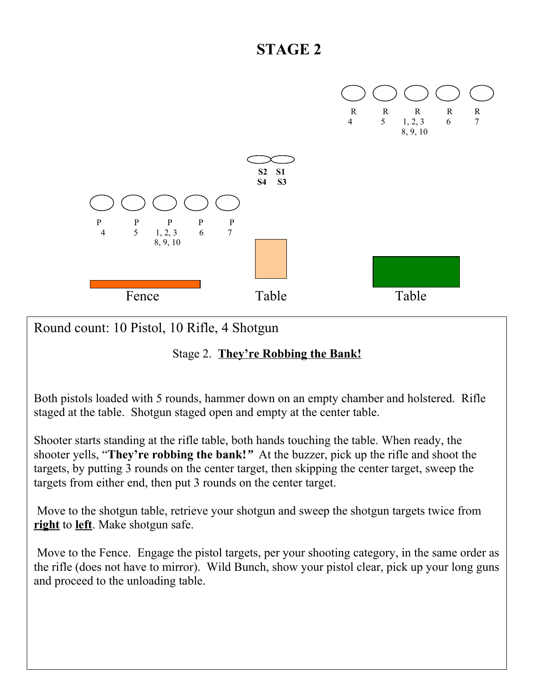

Round count: 10 Pistol, 10 Rifle, 4 Shotgun

### Stage 2. **They're Robbing the Bank!**

Both pistols loaded with 5 rounds, hammer down on an empty chamber and holstered. Rifle staged at the table. Shotgun staged open and empty at the center table.

Shooter starts standing at the rifle table, both hands touching the table. When ready, the shooter yells, "**They're robbing the bank!***"* At the buzzer, pick up the rifle and shoot the targets, by putting 3 rounds on the center target, then skipping the center target, sweep the targets from either end, then put 3 rounds on the center target.

 Move to the shotgun table, retrieve your shotgun and sweep the shotgun targets twice from **right** to **left**. Make shotgun safe.

 Move to the Fence. Engage the pistol targets, per your shooting category, in the same order as the rifle (does not have to mirror). Wild Bunch, show your pistol clear, pick up your long guns and proceed to the unloading table.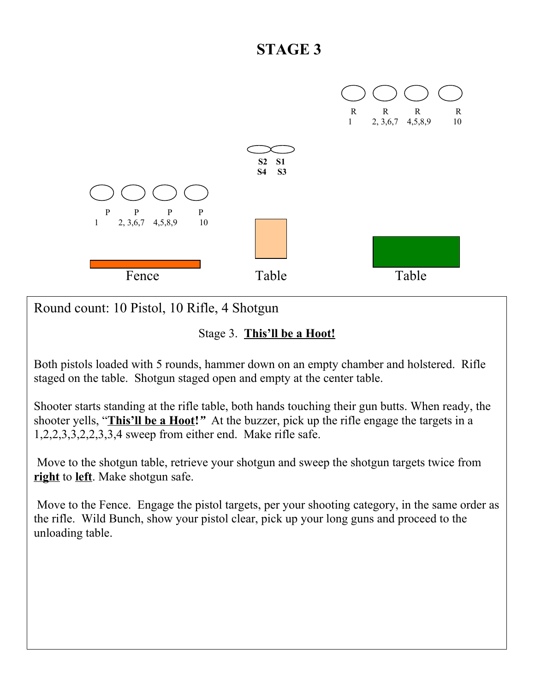

Round count: 10 Pistol, 10 Rifle, 4 Shotgun

#### Stage 3. **This'll be a Hoot!**

Both pistols loaded with 5 rounds, hammer down on an empty chamber and holstered. Rifle staged on the table. Shotgun staged open and empty at the center table.

Shooter starts standing at the rifle table, both hands touching their gun butts. When ready, the shooter yells, "**This'll be a Hoot!***"* At the buzzer, pick up the rifle engage the targets in a 1,2,2,3,3,2,2,3,3,4 sweep from either end. Make rifle safe.

 Move to the shotgun table, retrieve your shotgun and sweep the shotgun targets twice from **right** to **left**. Make shotgun safe.

 Move to the Fence. Engage the pistol targets, per your shooting category, in the same order as the rifle. Wild Bunch, show your pistol clear, pick up your long guns and proceed to the unloading table.